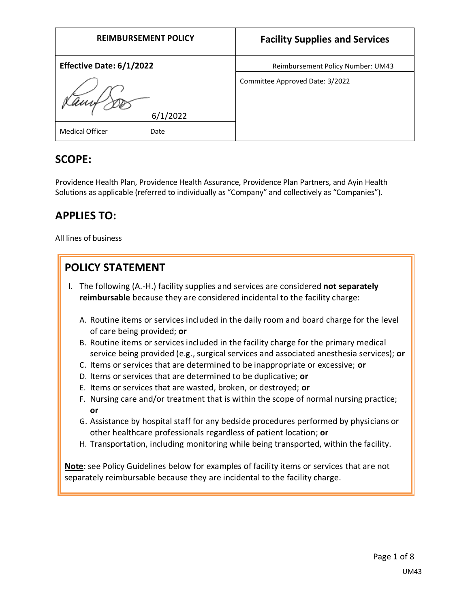| <b>REIMBURSEMENT POLICY</b> | <b>Facility Supplies and Services</b> |
|-----------------------------|---------------------------------------|
| Effective Date: 6/1/2022    | Reimbursement Policy Number: UM43     |
| 6/1/2022                    | Committee Approved Date: 3/2022       |
| Medical Officer<br>Date     |                                       |

# **SCOPE:**

Providence Health Plan, Providence Health Assurance, Providence Plan Partners, and Ayin Health Solutions as applicable (referred to individually as "Company" and collectively as "Companies").

# **APPLIES TO:**

All lines of business

# **POLICY STATEMENT**

- I. The following (A.-H.) facility supplies and services are considered **not separately reimbursable** because they are considered incidental to the facility charge:
	- A. Routine items or services included in the daily room and board charge for the level of care being provided; **or**
	- B. Routine items or services included in the facility charge for the primary medical service being provided (e.g., surgical services and associated anesthesia services); **or**
	- C. Items or services that are determined to be inappropriate or excessive; **or**
	- D. Items or services that are determined to be duplicative; **or**
	- E. Items or services that are wasted, broken, or destroyed; **or**
	- F. Nursing care and/or treatment that is within the scope of normal nursing practice; **or**
	- G. Assistance by hospital staff for any bedside procedures performed by physicians or other healthcare professionals regardless of patient location; **or**
	- H. Transportation, including monitoring while being transported, within the facility.

**Note**: see Policy Guidelines below for examples of facility items or services that are not separately reimbursable because they are incidental to the facility charge.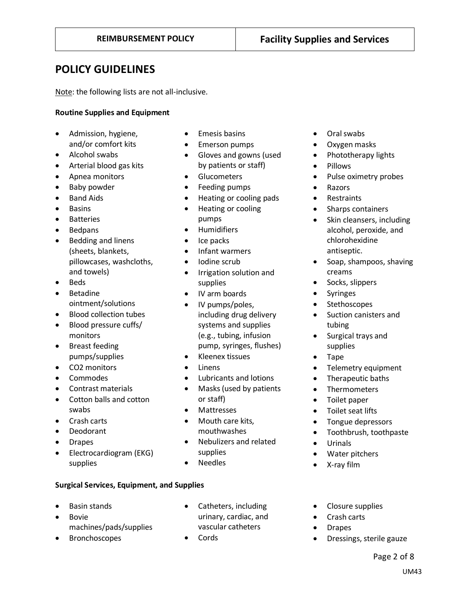# **POLICY GUIDELINES**

Note: the following lists are not all-inclusive.

## **Routine Supplies and Equipment**

- Admission, hygiene, and/or comfort kits
- Alcohol swabs
- Arterial blood gas kits
- Apnea monitors
- Baby powder
- Band Aids
- Basins
- **Batteries**
- Bedpans
- Bedding and linens (sheets, blankets, pillowcases, washcloths, and towels)
- Beds
- Betadine ointment/solutions
- Blood collection tubes
- Blood pressure cuffs/ monitors
- Breast feeding pumps/supplies
- CO2 monitors
- Commodes
- Contrast materials
- Cotton balls and cotton swabs
- Crash carts
- Deodorant
- Drapes
- Electrocardiogram (EKG) supplies
- Emesis basins
- Emerson pumps
- Gloves and gowns (used by patients or staff)
- **Glucometers**
- Feeding pumps
- Heating or cooling pads
- Heating or cooling pumps
- Humidifiers
- Ice packs
- Infant warmers
- Iodine scrub
- Irrigation solution and supplies
- IV arm boards
- IV pumps/poles, including drug delivery systems and supplies (e.g., tubing, infusion pump, syringes, flushes)
- Kleenex tissues
- Linens
- Lubricants and lotions
- Masks (used by patients or staff)
- Mattresses
- Mouth care kits, mouthwashes
- Nebulizers and related supplies
- Needles

## **Surgical Services, Equipment, and Supplies**

- Basin stands
- Bovie machines/pads/supplies
- Bronchoscopes
- Catheters, including urinary, cardiac, and vascular catheters
- Cords
- Oral swabs
- Oxygen masks
- Phototherapy lights
- Pillows
- Pulse oximetry probes
- Razors
- Restraints
- Sharps containers
- Skin cleansers, including alcohol, peroxide, and chlorohexidine antiseptic.
- Soap, shampoos, shaving creams
- Socks, slippers
- Syringes
- Stethoscopes
- Suction canisters and tubing
- Surgical trays and supplies
- Tape
- Telemetry equipment
- Therapeutic baths
- Thermometers
- Toilet paper
- Toilet seat lifts
- Tongue depressors
- Toothbrush, toothpaste
- Urinals
- Water pitchers
- X-ray film
- Closure supplies
- Crash carts
- Drapes
- Dressings, sterile gauze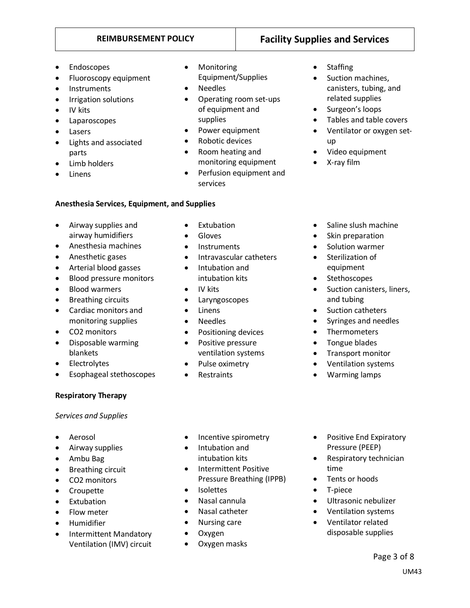- **Endoscopes**
- Fluoroscopy equipment
- **Instruments**
- Irrigation solutions
- IV kits
- Laparoscopes
- Lasers
- Lights and associated parts
- Limb holders
- Linens
- Monitoring Equipment/Supplies
- Needles
- Operating room set-ups of equipment and supplies
- Power equipment
- Robotic devices

• Extubation • Gloves • Instruments

• Intubation and intubation kits

• Laryngoscopes

• Pulse oximetry • Restraints

• Positioning devices • Positive pressure ventilation systems

• IV kits

• Linens • Needles

- Room heating and monitoring equipment
- Perfusion equipment and services

• Intravascular catheters

- **Anesthesia Services, Equipment, and Supplies**
- Airway supplies and airway humidifiers
- Anesthesia machines
- Anesthetic gases
- Arterial blood gasses
- Blood pressure monitors
- Blood warmers
- Breathing circuits
- Cardiac monitors and monitoring supplies
- CO2 monitors
- Disposable warming blankets
- **Electrolytes**
- Esophageal stethoscopes
- **Respiratory Therapy**

## *Services and Supplies*

- Aerosol
- Airway supplies
- Ambu Bag
- Breathing circuit
- CO2 monitors
- Croupette
- Extubation
- Flow meter
- Humidifier
- Intermittent Mandatory Ventilation (IMV) circuit
- Incentive spirometry
- Intubation and intubation kits
- Intermittent Positive Pressure Breathing (IPPB)
- Isolettes
- Nasal cannula
- Nasal catheter
- Nursing care
- Oxygen
- Oxygen masks
- **Staffing**
- Suction machines, canisters, tubing, and related supplies
- Surgeon's loops
- Tables and table covers
- Ventilator or oxygen setup
- Video equipment
- X-ray film
- Saline slush machine
- Skin preparation
- Solution warmer
- Sterilization of equipment
- Stethoscopes
- Suction canisters, liners, and tubing
- Suction catheters
- Syringes and needles
- Thermometers
- Tongue blades
- Transport monitor
- Ventilation systems
- Warming lamps
- Positive End Expiratory Pressure (PEEP)
- Respiratory technician time
- Tents or hoods
- T-piece
- Ultrasonic nebulizer
- Ventilation systems
- Ventilator related disposable supplies

**REIMBURSEMENT POLICY Facility Supplies and Services**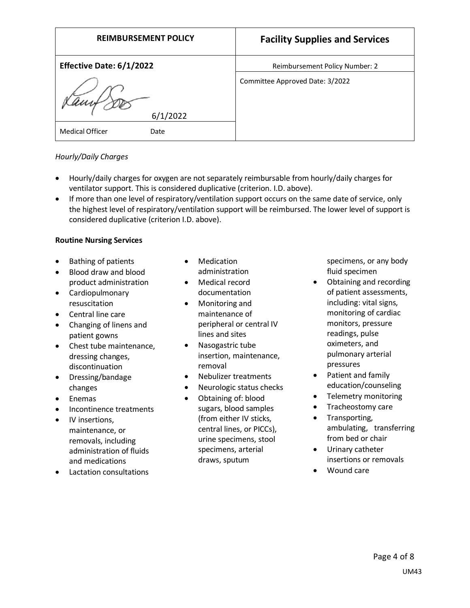| <b>REIMBURSEMENT POLICY</b>    | <b>Facility Supplies and Services</b> |
|--------------------------------|---------------------------------------|
| Effective Date: 6/1/2022       | Reimbursement Policy Number: 2        |
| lamf,<br>6/1/2022              | Committee Approved Date: 3/2022       |
| <b>Medical Officer</b><br>Date |                                       |

## *Hourly/Daily Charges*

- Hourly/daily charges for oxygen are not separately reimbursable from hourly/daily charges for ventilator support. This is considered duplicative (criterion. I.D. above).
- If more than one level of respiratory/ventilation support occurs on the same date of service, only the highest level of respiratory/ventilation support will be reimbursed. The lower level of support is considered duplicative (criterion I.D. above).

## **Routine Nursing Services**

- Bathing of patients
- Blood draw and blood product administration
- Cardiopulmonary resuscitation
- Central line care
- Changing of linens and patient gowns
- Chest tube maintenance, dressing changes, discontinuation
- Dressing/bandage changes
- Enemas
- Incontinence treatments
- IV insertions, maintenance, or removals, including administration of fluids and medications
- Lactation consultations
- **Medication** administration
- Medical record documentation
- Monitoring and maintenance of peripheral or central IV lines and sites
- Nasogastric tube insertion, maintenance, removal
- Nebulizer treatments
- Neurologic status checks
- Obtaining of: blood sugars, blood samples (from either IV sticks, central lines, or PICCs), urine specimens, stool specimens, arterial draws, sputum

specimens, or any body fluid specimen

- Obtaining and recording of patient assessments, including: vital signs, monitoring of cardiac monitors, pressure readings, pulse oximeters, and pulmonary arterial pressures
- Patient and family education/counseling
- Telemetry monitoring
- Tracheostomy care
- Transporting, ambulating, transferring from bed or chair
- Urinary catheter insertions or removals
- Wound care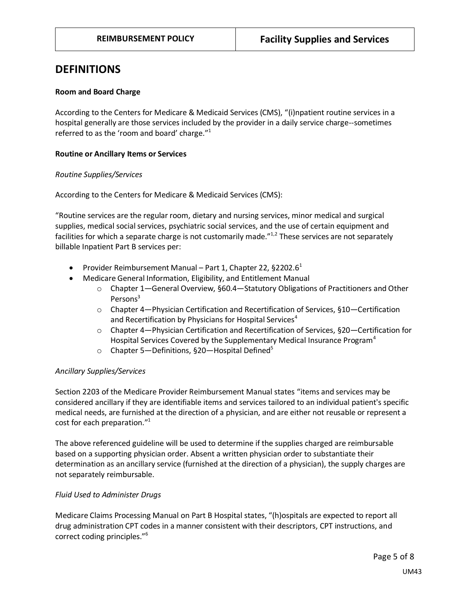## **DEFINITIONS**

## **Room and Board Charge**

According to the Centers for Medicare & Medicaid Services (CMS), "(i)npatient routine services in a hospital generally are those services included by the provider in a daily service charge--sometimes referred to as the 'room and board' charge."<sup>1</sup>

## **Routine or Ancillary Items or Services**

## *Routine Supplies/Services*

According to the Centers for Medicare & Medicaid Services (CMS):

"Routine services are the regular room, dietary and nursing services, minor medical and surgical supplies, medical social services, psychiatric social services, and the use of certain equipment and facilities for which a separate charge is not customarily made."<sup>1,2</sup> These services are not separately billable Inpatient Part B services per:

- Provider Reimbursement Manual Part 1, Chapter 22, §2202.6<sup>1</sup>
- Medicare General Information, Eligibility, and Entitlement Manual
	- o Chapter 1—General Overview, §60.4—Statutory Obligations of Practitioners and Other Persons<sup>3</sup>
	- $\circ$  Chapter 4—Physician Certification and Recertification of Services, §10—Certification and Recertification by Physicians for Hospital Services<sup>4</sup>
	- o Chapter 4—Physician Certification and Recertification of Services, §20—Certification for Hospital Services Covered by the Supplementary Medical Insurance Program<sup>4</sup>
	- $\circ$  Chapter 5—Definitions, §20—Hospital Defined<sup>5</sup>

## *Ancillary Supplies/Services*

Section 2203 of the Medicare Provider Reimbursement Manual states "items and services may be considered ancillary if they are identifiable items and services tailored to an individual patient's specific medical needs, are furnished at the direction of a physician, and are either not reusable or represent a cost for each preparation."<sup>1</sup>

The above referenced guideline will be used to determine if the supplies charged are reimbursable based on a supporting physician order. Absent a written physician order to substantiate their determination as an ancillary service (furnished at the direction of a physician), the supply charges are not separately reimbursable.

## *Fluid Used to Administer Drugs*

Medicare Claims Processing Manual on Part B Hospital states, "(h)ospitals are expected to report all drug administration CPT codes in a manner consistent with their descriptors, CPT instructions, and correct coding principles."<sup>6</sup>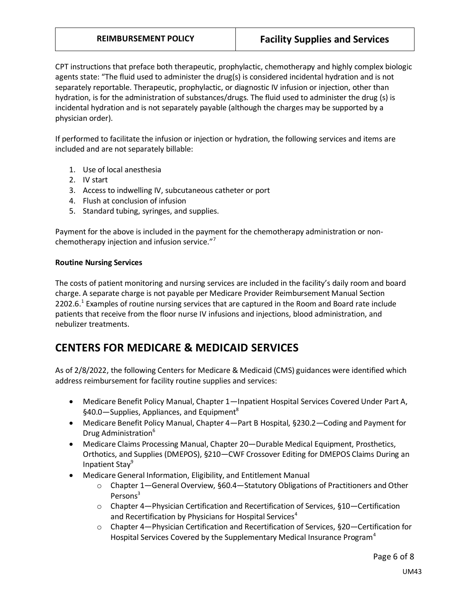CPT instructions that preface both therapeutic, prophylactic, chemotherapy and highly complex biologic agents state: "The fluid used to administer the drug(s) is considered incidental hydration and is not separately reportable. Therapeutic, prophylactic, or diagnostic IV infusion or injection, other than hydration, is for the administration of substances/drugs. The fluid used to administer the drug (s) is incidental hydration and is not separately payable (although the charges may be supported by a physician order).

If performed to facilitate the infusion or injection or hydration, the following services and items are included and are not separately billable:

- 1. Use of local anesthesia
- 2. IV start
- 3. Access to indwelling IV, subcutaneous catheter or port
- 4. Flush at conclusion of infusion
- 5. Standard tubing, syringes, and supplies.

Payment for the above is included in the payment for the chemotherapy administration or nonchemotherapy injection and infusion service."<sup>7</sup>

## **Routine Nursing Services**

The costs of patient monitoring and nursing services are included in the facility's daily room and board charge. A separate charge is not payable per Medicare Provider Reimbursement Manual Section 2202.6.<sup>1</sup> Examples of routine nursing services that are captured in the Room and Board rate include patients that receive from the floor nurse IV infusions and injections, blood administration, and nebulizer treatments.

# **CENTERS FOR MEDICARE & MEDICAID SERVICES**

As of 2/8/2022, the following Centers for Medicare & Medicaid (CMS) guidances were identified which address reimbursement for facility routine supplies and services:

- Medicare Benefit Policy Manual, Chapter 1—Inpatient Hospital Services Covered Under Part A, §40.0—Supplies, Appliances, and Equipment<sup>8</sup>
- Medicare Benefit Policy Manual, Chapter 4—Part B Hospital, §230.2—Coding and Payment for Drug Administration<sup>6</sup>
- Medicare Claims Processing Manual, Chapter 20—Durable Medical Equipment, Prosthetics, Orthotics, and Supplies (DMEPOS), §210—CWF Crossover Editing for DMEPOS Claims During an Inpatient Stay<sup>9</sup>
- Medicare General Information, Eligibility, and Entitlement Manual
	- o Chapter 1—General Overview, §60.4—Statutory Obligations of Practitioners and Other Persons<sup>3</sup>
	- o Chapter 4—Physician Certification and Recertification of Services, §10—Certification and Recertification by Physicians for Hospital Services<sup>4</sup>
	- o Chapter 4—Physician Certification and Recertification of Services, §20—Certification for Hospital Services Covered by the Supplementary Medical Insurance Program $4$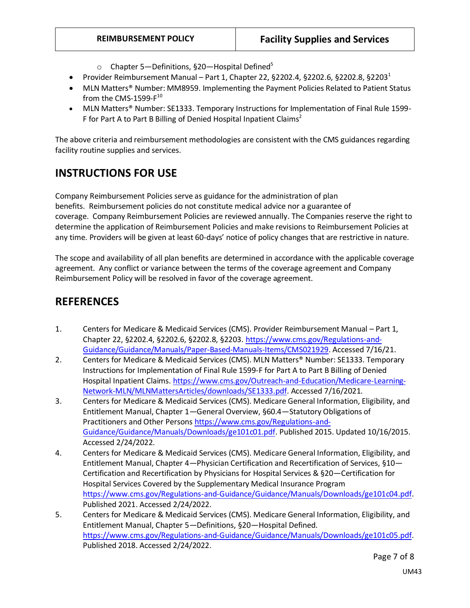- $\circ$  Chapter 5—Definitions, §20—Hospital Defined<sup>5</sup>
- Provider Reimbursement Manual Part 1, Chapter 22, §2202.4, §2202.6, §2202.8, §2203<sup>1</sup>
- MLN Matters® Number: MM8959. Implementing the Payment Policies Related to Patient Status from the CMS-1599-F $^{\rm 10}$
- MLN Matters® Number: SE1333. Temporary Instructions for Implementation of Final Rule 1599- F for Part A to Part B Billing of Denied Hospital Inpatient Claims<sup>2</sup>

The above criteria and reimbursement methodologies are consistent with the CMS guidances regarding facility routine supplies and services.

# **INSTRUCTIONS FOR USE**

Company Reimbursement Policies serve as guidance for the administration of plan benefits. Reimbursement policies do not constitute medical advice nor a guarantee of coverage. Company Reimbursement Policies are reviewed annually. The Companies reserve the right to determine the application of Reimbursement Policies and make revisions to Reimbursement Policies at any time. Providers will be given at least 60-days' notice of policy changes that are restrictive in nature.

The scope and availability of all plan benefits are determined in accordance with the applicable coverage agreement. Any conflict or variance between the terms of the coverage agreement and Company Reimbursement Policy will be resolved in favor of the coverage agreement.

# **REFERENCES**

- 1. Centers for Medicare & Medicaid Services (CMS). Provider Reimbursement Manual Part 1, Chapter 22, §2202.4, §2202.6, §2202.8, §2203[. https://www.cms.gov/Regulations-and-](https://www.cms.gov/Regulations-and-Guidance/Guidance/Manuals/Paper-Based-Manuals-Items/CMS021929)[Guidance/Guidance/Manuals/Paper-Based-Manuals-Items/CMS021929.](https://www.cms.gov/Regulations-and-Guidance/Guidance/Manuals/Paper-Based-Manuals-Items/CMS021929) Accessed 7/16/21.
- 2. Centers for Medicare & Medicaid Services (CMS). MLN Matters® Number: SE1333. Temporary Instructions for Implementation of Final Rule 1599-F for Part A to Part B Billing of Denied Hospital Inpatient Claims. [https://www.cms.gov/Outreach-and-Education/Medicare-Learning-](https://www.cms.gov/Outreach-and-Education/Medicare-Learning-Network-MLN/MLNMattersArticles/downloads/SE1333.pdf)[Network-MLN/MLNMattersArticles/downloads/SE1333.pdf.](https://www.cms.gov/Outreach-and-Education/Medicare-Learning-Network-MLN/MLNMattersArticles/downloads/SE1333.pdf) Accessed 7/16/2021.
- 3. Centers for Medicare & Medicaid Services (CMS). Medicare General Information, Eligibility, and Entitlement Manual, Chapter 1—General Overview, §60.4—Statutory Obligations of Practitioners and Other Persons [https://www.cms.gov/Regulations-and-](https://www.cms.gov/Regulations-and-Guidance/Guidance/Manuals/Downloads/ge101c01.pdf)[Guidance/Guidance/Manuals/Downloads/ge101c01.pdf.](https://www.cms.gov/Regulations-and-Guidance/Guidance/Manuals/Downloads/ge101c01.pdf) Published 2015. Updated 10/16/2015. Accessed 2/24/2022.
- 4. Centers for Medicare & Medicaid Services (CMS). Medicare General Information, Eligibility, and Entitlement Manual, Chapter 4—Physician Certification and Recertification of Services, §10— Certification and Recertification by Physicians for Hospital Services & §20—Certification for Hospital Services Covered by the Supplementary Medical Insurance Program [https://www.cms.gov/Regulations-and-Guidance/Guidance/Manuals/Downloads/ge101c04.pdf.](https://www.cms.gov/Regulations-and-Guidance/Guidance/Manuals/Downloads/ge101c04.pdf) Published 2021. Accessed 2/24/2022.
- 5. Centers for Medicare & Medicaid Services (CMS). Medicare General Information, Eligibility, and Entitlement Manual, Chapter 5—Definitions, §20—Hospital Defined. [https://www.cms.gov/Regulations-and-Guidance/Guidance/Manuals/Downloads/ge101c05.pdf.](https://www.cms.gov/Regulations-and-Guidance/Guidance/Manuals/Downloads/ge101c05.pdf) Published 2018. Accessed 2/24/2022.